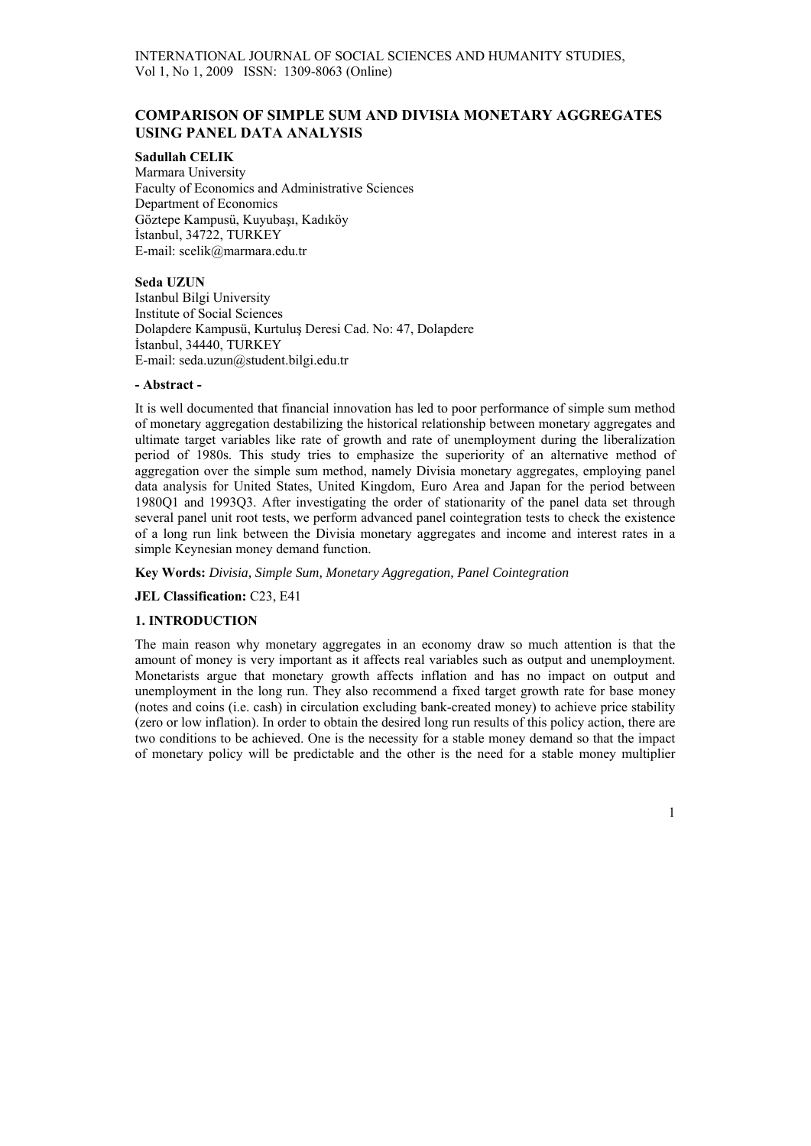# **COMPARISON OF SIMPLE SUM AND DIVISIA MONETARY AGGREGATES USING PANEL DATA ANALYSIS**

# **Sadullah CELIK**

Marmara University Faculty of Economics and Administrative Sciences Department of Economics Göztepe Kampusü, Kuyubaşı, Kadıköy İstanbul, 34722, TURKEY E-mail: scelik@marmara.edu.tr

#### **Seda UZUN**

Istanbul Bilgi University Institute of Social Sciences Dolapdere Kampusü, Kurtuluş Deresi Cad. No: 47, Dolapdere İstanbul, 34440, TURKEY E-mail: seda.uzun@student.bilgi.edu.tr

#### **- Abstract -**

It is well documented that financial innovation has led to poor performance of simple sum method of monetary aggregation destabilizing the historical relationship between monetary aggregates and ultimate target variables like rate of growth and rate of unemployment during the liberalization period of 1980s. This study tries to emphasize the superiority of an alternative method of aggregation over the simple sum method, namely Divisia monetary aggregates, employing panel data analysis for United States, United Kingdom, Euro Area and Japan for the period between 1980Q1 and 1993Q3. After investigating the order of stationarity of the panel data set through several panel unit root tests, we perform advanced panel cointegration tests to check the existence of a long run link between the Divisia monetary aggregates and income and interest rates in a simple Keynesian money demand function.

## **Key Words:** *Divisia, Simple Sum, Monetary Aggregation, Panel Cointegration*

**JEL Classification:** C23, E41

#### **1. INTRODUCTION**

The main reason why monetary aggregates in an economy draw so much attention is that the amount of money is very important as it affects real variables such as output and unemployment. Monetarists argue that monetary growth affects inflation and has no impact on output and unemployment in the long run. They also recommend a fixed target growth rate for base money (notes and coins (i.e. cash) in circulation excluding bank-created money) to achieve price stability (zero or low inflation). In order to obtain the desired long run results of this policy action, there are two conditions to be achieved. One is the necessity for a stable money demand so that the impact of monetary policy will be predictable and the other is the need for a stable money multiplier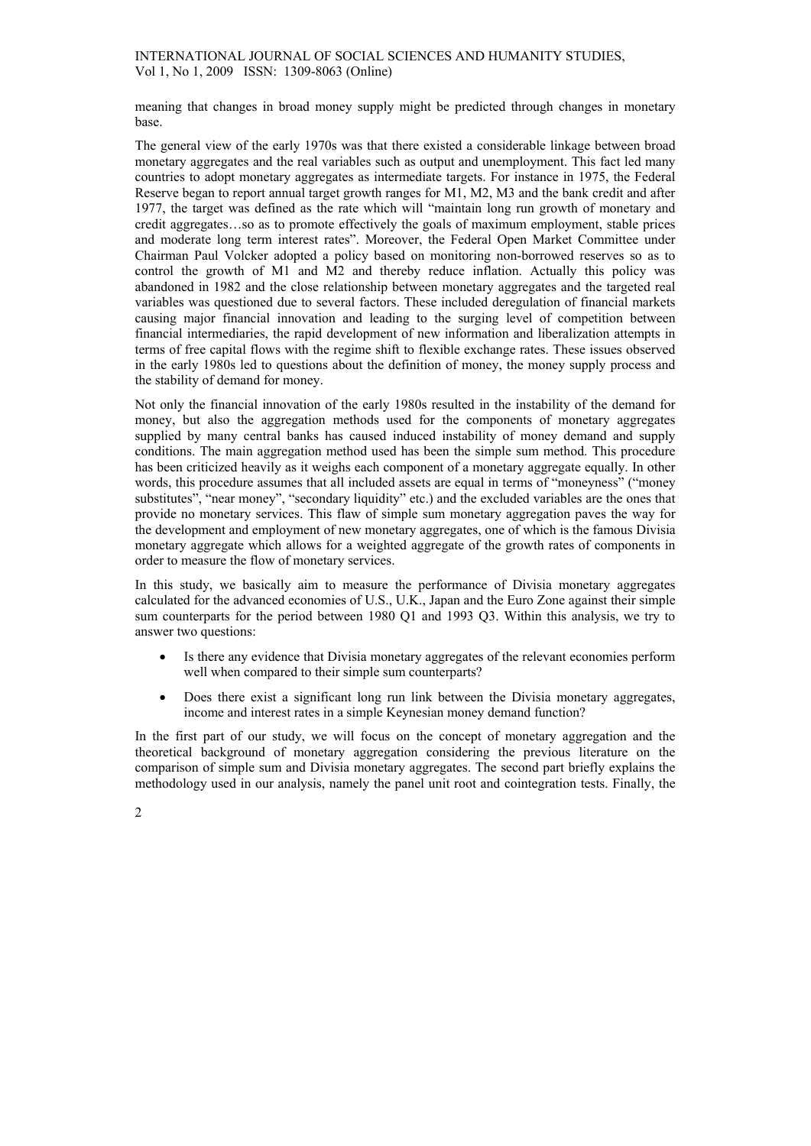meaning that changes in broad money supply might be predicted through changes in monetary base.

The general view of the early 1970s was that there existed a considerable linkage between broad monetary aggregates and the real variables such as output and unemployment. This fact led many countries to adopt monetary aggregates as intermediate targets. For instance in 1975, the Federal Reserve began to report annual target growth ranges for M1, M2, M3 and the bank credit and after 1977, the target was defined as the rate which will "maintain long run growth of monetary and credit aggregates…so as to promote effectively the goals of maximum employment, stable prices and moderate long term interest rates". Moreover, the Federal Open Market Committee under Chairman Paul Volcker adopted a policy based on monitoring non-borrowed reserves so as to control the growth of M1 and M2 and thereby reduce inflation. Actually this policy was abandoned in 1982 and the close relationship between monetary aggregates and the targeted real variables was questioned due to several factors. These included deregulation of financial markets causing major financial innovation and leading to the surging level of competition between financial intermediaries, the rapid development of new information and liberalization attempts in terms of free capital flows with the regime shift to flexible exchange rates. These issues observed in the early 1980s led to questions about the definition of money, the money supply process and the stability of demand for money.

Not only the financial innovation of the early 1980s resulted in the instability of the demand for money, but also the aggregation methods used for the components of monetary aggregates supplied by many central banks has caused induced instability of money demand and supply conditions. The main aggregation method used has been the simple sum method. This procedure has been criticized heavily as it weighs each component of a monetary aggregate equally. In other words, this procedure assumes that all included assets are equal in terms of "moneyness" ("money substitutes", "near money", "secondary liquidity" etc.) and the excluded variables are the ones that provide no monetary services. This flaw of simple sum monetary aggregation paves the way for the development and employment of new monetary aggregates, one of which is the famous Divisia monetary aggregate which allows for a weighted aggregate of the growth rates of components in order to measure the flow of monetary services.

In this study, we basically aim to measure the performance of Divisia monetary aggregates calculated for the advanced economies of U.S., U.K., Japan and the Euro Zone against their simple sum counterparts for the period between 1980 Q1 and 1993 Q3. Within this analysis, we try to answer two questions:

- Is there any evidence that Divisia monetary aggregates of the relevant economies perform well when compared to their simple sum counterparts?
- Does there exist a significant long run link between the Divisia monetary aggregates, income and interest rates in a simple Keynesian money demand function?

In the first part of our study, we will focus on the concept of monetary aggregation and the theoretical background of monetary aggregation considering the previous literature on the comparison of simple sum and Divisia monetary aggregates. The second part briefly explains the methodology used in our analysis, namely the panel unit root and cointegration tests. Finally, the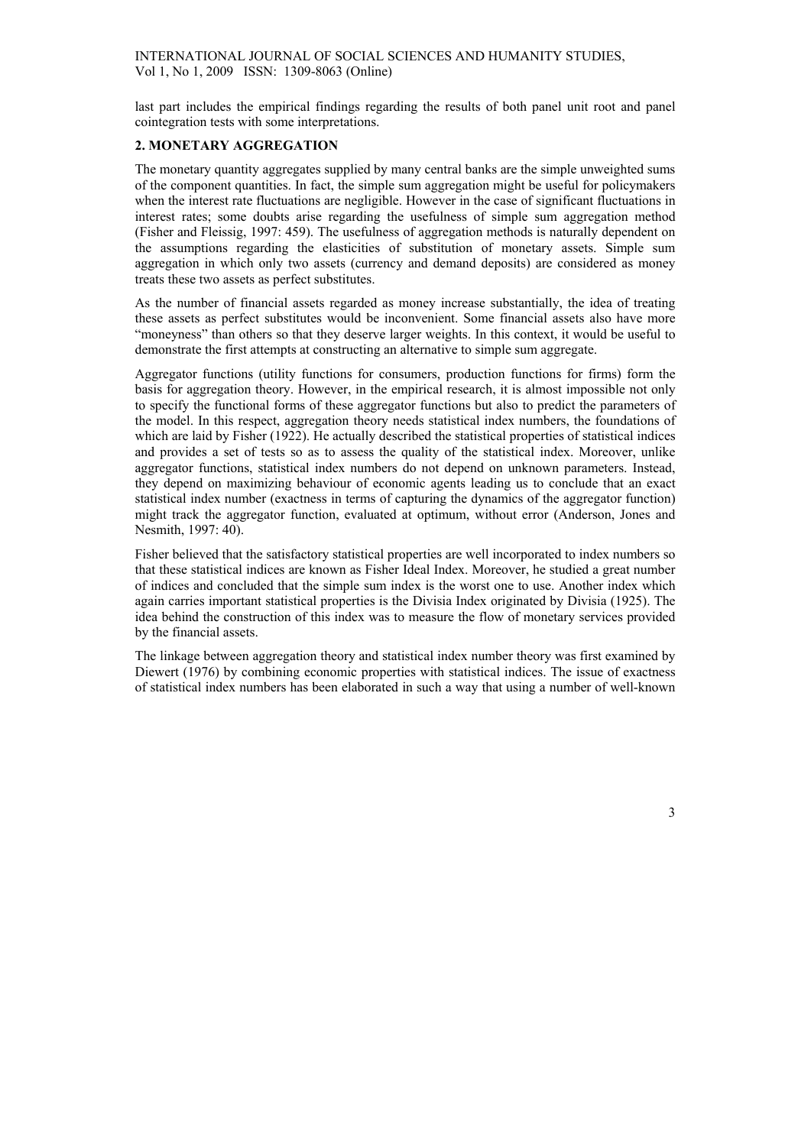last part includes the empirical findings regarding the results of both panel unit root and panel cointegration tests with some interpretations.

# **2. MONETARY AGGREGATION**

The monetary quantity aggregates supplied by many central banks are the simple unweighted sums of the component quantities. In fact, the simple sum aggregation might be useful for policymakers when the interest rate fluctuations are negligible. However in the case of significant fluctuations in interest rates; some doubts arise regarding the usefulness of simple sum aggregation method (Fisher and Fleissig, 1997: 459). The usefulness of aggregation methods is naturally dependent on the assumptions regarding the elasticities of substitution of monetary assets. Simple sum aggregation in which only two assets (currency and demand deposits) are considered as money treats these two assets as perfect substitutes.

As the number of financial assets regarded as money increase substantially, the idea of treating these assets as perfect substitutes would be inconvenient. Some financial assets also have more "moneyness" than others so that they deserve larger weights. In this context, it would be useful to demonstrate the first attempts at constructing an alternative to simple sum aggregate.

Aggregator functions (utility functions for consumers, production functions for firms) form the basis for aggregation theory. However, in the empirical research, it is almost impossible not only to specify the functional forms of these aggregator functions but also to predict the parameters of the model. In this respect, aggregation theory needs statistical index numbers, the foundations of which are laid by Fisher (1922). He actually described the statistical properties of statistical indices and provides a set of tests so as to assess the quality of the statistical index. Moreover, unlike aggregator functions, statistical index numbers do not depend on unknown parameters. Instead, they depend on maximizing behaviour of economic agents leading us to conclude that an exact statistical index number (exactness in terms of capturing the dynamics of the aggregator function) might track the aggregator function, evaluated at optimum, without error (Anderson, Jones and Nesmith, 1997: 40).

Fisher believed that the satisfactory statistical properties are well incorporated to index numbers so that these statistical indices are known as Fisher Ideal Index. Moreover, he studied a great number of indices and concluded that the simple sum index is the worst one to use. Another index which again carries important statistical properties is the Divisia Index originated by Divisia (1925). The idea behind the construction of this index was to measure the flow of monetary services provided by the financial assets.

The linkage between aggregation theory and statistical index number theory was first examined by Diewert (1976) by combining economic properties with statistical indices. The issue of exactness of statistical index numbers has been elaborated in such a way that using a number of well-known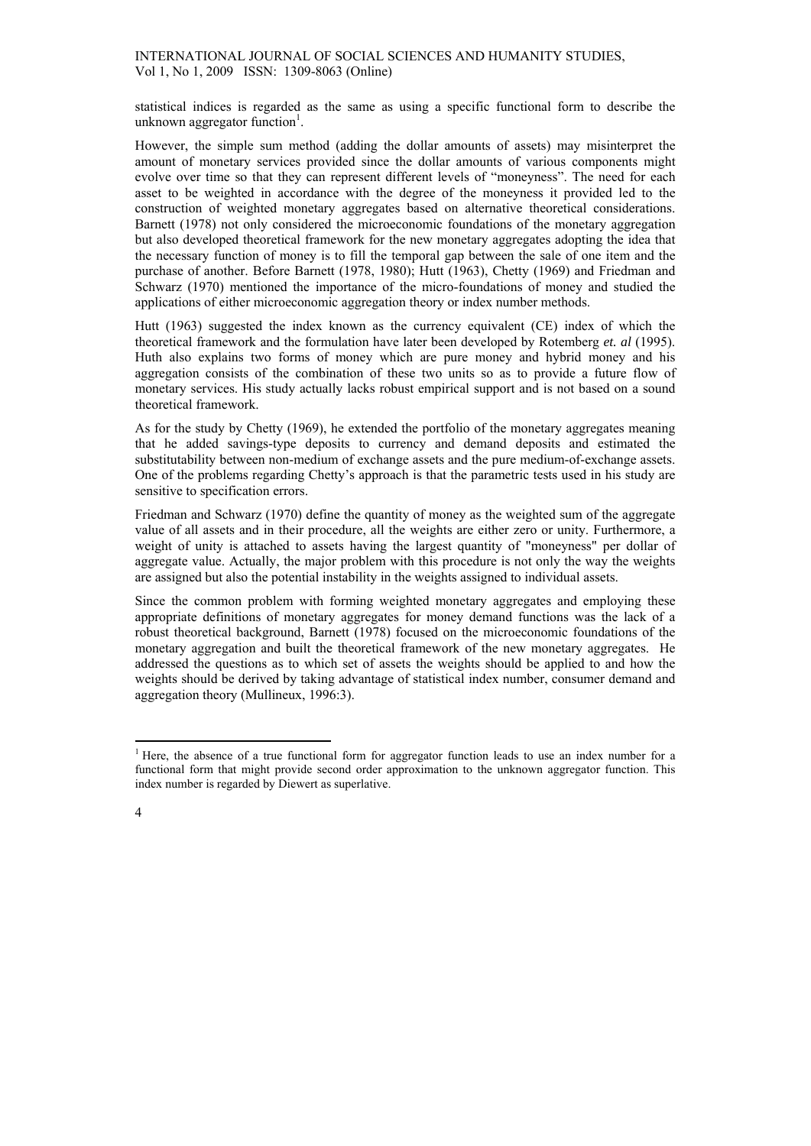statistical indices is regarded as the same as using a specific functional form to describe the unknown aggregator function<sup>1</sup>.

However, the simple sum method (adding the dollar amounts of assets) may misinterpret the amount of monetary services provided since the dollar amounts of various components might evolve over time so that they can represent different levels of "moneyness". The need for each asset to be weighted in accordance with the degree of the moneyness it provided led to the construction of weighted monetary aggregates based on alternative theoretical considerations. Barnett (1978) not only considered the microeconomic foundations of the monetary aggregation but also developed theoretical framework for the new monetary aggregates adopting the idea that the necessary function of money is to fill the temporal gap between the sale of one item and the purchase of another. Before Barnett (1978, 1980); Hutt (1963), Chetty (1969) and Friedman and Schwarz (1970) mentioned the importance of the micro-foundations of money and studied the applications of either microeconomic aggregation theory or index number methods.

Hutt (1963) suggested the index known as the currency equivalent (CE) index of which the theoretical framework and the formulation have later been developed by Rotemberg *et. al* (1995). Huth also explains two forms of money which are pure money and hybrid money and his aggregation consists of the combination of these two units so as to provide a future flow of monetary services. His study actually lacks robust empirical support and is not based on a sound theoretical framework.

As for the study by Chetty (1969), he extended the portfolio of the monetary aggregates meaning that he added savings-type deposits to currency and demand deposits and estimated the substitutability between non-medium of exchange assets and the pure medium-of-exchange assets. One of the problems regarding Chetty's approach is that the parametric tests used in his study are sensitive to specification errors.

Friedman and Schwarz (1970) define the quantity of money as the weighted sum of the aggregate value of all assets and in their procedure, all the weights are either zero or unity. Furthermore, a weight of unity is attached to assets having the largest quantity of "moneyness" per dollar of aggregate value. Actually, the major problem with this procedure is not only the way the weights are assigned but also the potential instability in the weights assigned to individual assets.

Since the common problem with forming weighted monetary aggregates and employing these appropriate definitions of monetary aggregates for money demand functions was the lack of a robust theoretical background, Barnett (1978) focused on the microeconomic foundations of the monetary aggregation and built the theoretical framework of the new monetary aggregates. He addressed the questions as to which set of assets the weights should be applied to and how the weights should be derived by taking advantage of statistical index number, consumer demand and aggregation theory (Mullineux, 1996:3).

<sup>&</sup>lt;sup>1</sup> Here, the absence of a true functional form for aggregator function leads to use an index number for a functional form that might provide second order approximation to the unknown aggregator function. This index number is regarded by Diewert as superlative.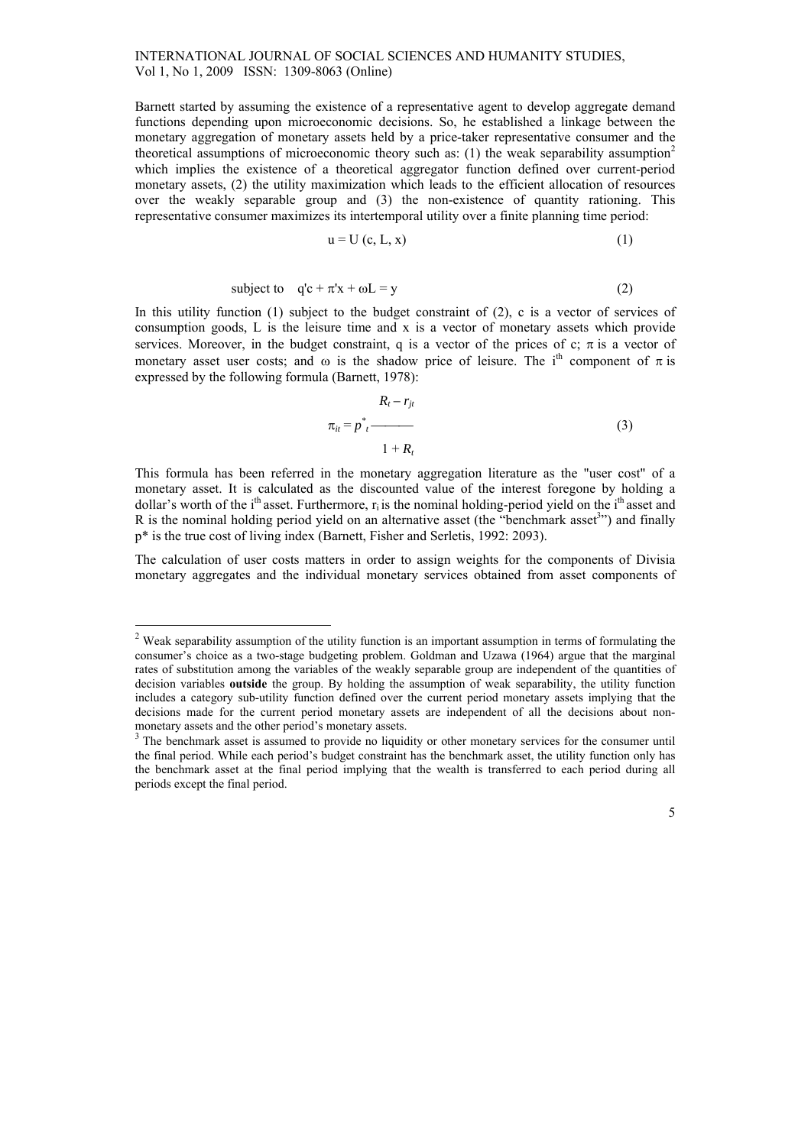Barnett started by assuming the existence of a representative agent to develop aggregate demand functions depending upon microeconomic decisions. So, he established a linkage between the monetary aggregation of monetary assets held by a price-taker representative consumer and the theoretical assumptions of microeconomic theory such as: (1) the weak separability assumption<sup>2</sup> which implies the existence of a theoretical aggregator function defined over current-period monetary assets, (2) the utility maximization which leads to the efficient allocation of resources over the weakly separable group and (3) the non-existence of quantity rationing. This representative consumer maximizes its intertemporal utility over a finite planning time period:

$$
u = U(c, L, x) \tag{1}
$$

subject to 
$$
q'c + \pi' x + \omega L = y
$$
 (2)

In this utility function (1) subject to the budget constraint of (2), c is a vector of services of consumption goods, L is the leisure time and x is a vector of monetary assets which provide services. Moreover, in the budget constraint, q is a vector of the prices of c;  $\pi$  is a vector of monetary asset user costs; and  $\omega$  is the shadow price of leisure. The i<sup>th</sup> component of  $\pi$  is expressed by the following formula (Barnett, 1978):

$$
R_t - r_{jt}
$$
  
\n
$$
\pi_{it} = p^*_{t}
$$
\n
$$
1 + R_t
$$
\n(3)

This formula has been referred in the monetary aggregation literature as the "user cost" of a monetary asset. It is calculated as the discounted value of the interest foregone by holding a dollar's worth of the i<sup>th</sup> asset. Furthermore,  $r_i$  is the nominal holding-period yield on the i<sup>th</sup> asset and R is the nominal holding period yield on an alternative asset (the "benchmark asset") and finally p\* is the true cost of living index (Barnett, Fisher and Serletis, 1992: 2093).

The calculation of user costs matters in order to assign weights for the components of Divisia monetary aggregates and the individual monetary services obtained from asset components of

<sup>&</sup>lt;sup>2</sup> Weak separability assumption of the utility function is an important assumption in terms of formulating the consumer's choice as a two-stage budgeting problem. Goldman and Uzawa (1964) argue that the marginal rates of substitution among the variables of the weakly separable group are independent of the quantities of decision variables **outside** the group. By holding the assumption of weak separability, the utility function includes a category sub-utility function defined over the current period monetary assets implying that the decisions made for the current period monetary assets are independent of all the decisions about nonmonetary assets and the other period's monetary assets.<br><sup>3</sup> The benchmark asset is assumed to provide no liquidity or other monetary services for the consumer until

the final period. While each period's budget constraint has the benchmark asset, the utility function only has the benchmark asset at the final period implying that the wealth is transferred to each period during all periods except the final period.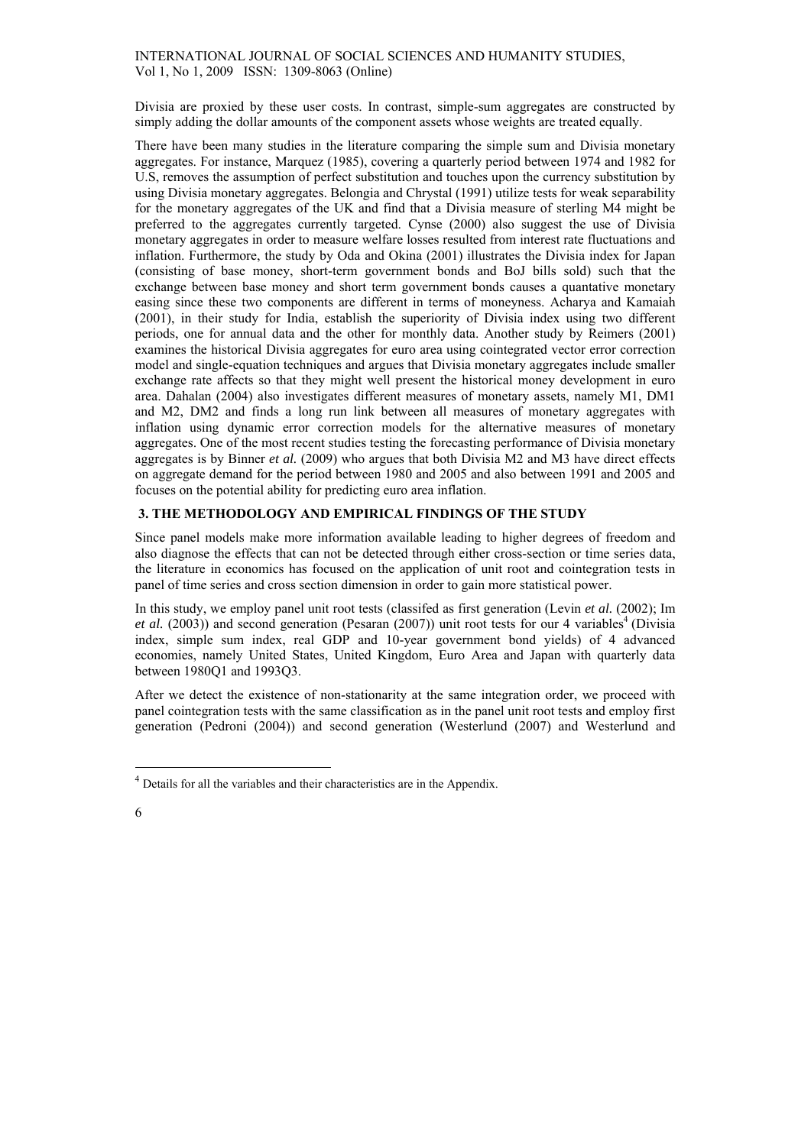Divisia are proxied by these user costs. In contrast, simple-sum aggregates are constructed by simply adding the dollar amounts of the component assets whose weights are treated equally.

There have been many studies in the literature comparing the simple sum and Divisia monetary aggregates. For instance, Marquez (1985), covering a quarterly period between 1974 and 1982 for U.S, removes the assumption of perfect substitution and touches upon the currency substitution by using Divisia monetary aggregates. Belongia and Chrystal (1991) utilize tests for weak separability for the monetary aggregates of the UK and find that a Divisia measure of sterling M4 might be preferred to the aggregates currently targeted. Cynse (2000) also suggest the use of Divisia monetary aggregates in order to measure welfare losses resulted from interest rate fluctuations and inflation. Furthermore, the study by Oda and Okina (2001) illustrates the Divisia index for Japan (consisting of base money, short-term government bonds and BoJ bills sold) such that the exchange between base money and short term government bonds causes a quantative monetary easing since these two components are different in terms of moneyness. Acharya and Kamaiah (2001), in their study for India, establish the superiority of Divisia index using two different periods, one for annual data and the other for monthly data. Another study by Reimers (2001) examines the historical Divisia aggregates for euro area using cointegrated vector error correction model and single-equation techniques and argues that Divisia monetary aggregates include smaller exchange rate affects so that they might well present the historical money development in euro area. Dahalan (2004) also investigates different measures of monetary assets, namely M1, DM1 and M2, DM2 and finds a long run link between all measures of monetary aggregates with inflation using dynamic error correction models for the alternative measures of monetary aggregates. One of the most recent studies testing the forecasting performance of Divisia monetary aggregates is by Binner *et al.* (2009) who argues that both Divisia M2 and M3 have direct effects on aggregate demand for the period between 1980 and 2005 and also between 1991 and 2005 and focuses on the potential ability for predicting euro area inflation.

# **3. THE METHODOLOGY AND EMPIRICAL FINDINGS OF THE STUDY**

Since panel models make more information available leading to higher degrees of freedom and also diagnose the effects that can not be detected through either cross-section or time series data, the literature in economics has focused on the application of unit root and cointegration tests in panel of time series and cross section dimension in order to gain more statistical power.

In this study, we employ panel unit root tests (classifed as first generation (Levin *et al.* (2002); Im et al. (2003)) and second generation (Pesaran (2007)) unit root tests for our 4 variables<sup>4</sup> (Divisia index, simple sum index, real GDP and 10-year government bond yields) of 4 advanced economies, namely United States, United Kingdom, Euro Area and Japan with quarterly data between 1980Q1 and 1993Q3.

After we detect the existence of non-stationarity at the same integration order, we proceed with panel cointegration tests with the same classification as in the panel unit root tests and employ first generation (Pedroni (2004)) and second generation (Westerlund (2007) and Westerlund and

<sup>4</sup> Details for all the variables and their characteristics are in the Appendix.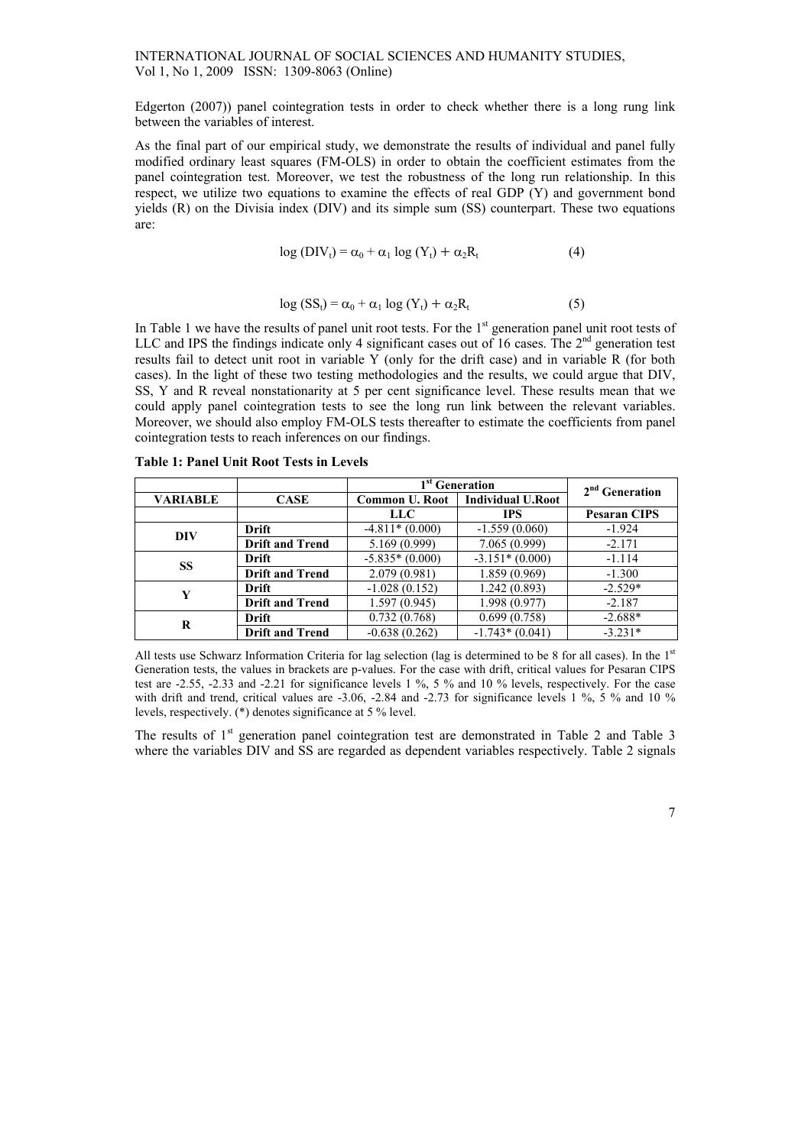Edgerton (2007)) panel cointegration tests in order to check whether there is a long rung link between the variables of interest.

As the final part of our empirical study, we demonstrate the results of individual and panel fully modified ordinary least squares (FM-OLS) in order to obtain the coefficient estimates from the panel cointegration test. Moreover, we test the robustness of the long run relationship. In this respect, we utilize two equations to examine the effects of real GDP (Y) and government bond yields (R) on the Divisia index (DIV) and its simple sum (SS) counterpart. These two equations are:

$$
log (DIVt) = \alpha_0 + \alpha_1 log (Yt) + \alpha_2 R_t
$$
 (4)

$$
\log (SS_t) = \alpha_0 + \alpha_1 \log (Y_t) + \alpha_2 R_t \tag{5}
$$

In Table 1 we have the results of panel unit root tests. For the  $1<sup>st</sup>$  generation panel unit root tests of LLC and IPS the findings indicate only 4 significant cases out of 16 cases. The 2<sup>nd</sup> generation test results fail to detect unit root in variable Y (only for the drift case) and in variable R (for both cases). In the light of these two testing methodologies and the results, we could argue that DIV, SS, Y and R reveal nonstationarity at 5 per cent significance level. These results mean that we could apply panel cointegration tests to see the long run link between the relevant variables. Moreover, we should also employ FM-OLS tests thereafter to estimate the coefficients from panel cointegration tests to reach inferences on our findings.

|                 |                        | 1 <sup>st</sup> Generation |                          | $2nd$ Generation    |
|-----------------|------------------------|----------------------------|--------------------------|---------------------|
| <b>VARIABLE</b> | <b>CASE</b>            | Common U. Root             | <b>Individual U.Root</b> |                     |
|                 |                        | <b>LLC</b>                 | <b>IPS</b>               | <b>Pesaran CIPS</b> |
| DIV             | Drift                  | $-4.811*(0.000)$           | $-1.559(0.060)$          | $-1.924$            |
|                 | <b>Drift and Trend</b> | 5.169(0.999)               | 7.065 (0.999)            | $-2.171$            |
| <b>SS</b>       | Drift                  | $-5.835*(0.000)$           | $-3.151*(0.000)$         | $-1.114$            |
|                 | <b>Drift and Trend</b> | 2.079(0.981)               | 1.859(0.969)             | $-1.300$            |
| Y               | Drift                  | $-1.028(0.152)$            | 1.242(0.893)             | $-2.529*$           |
|                 | <b>Drift and Trend</b> | 1.597(0.945)               | 1.998 (0.977)            | $-2.187$            |
| R               | Drift                  | 0.732(0.768)               | 0.699(0.758)             | $-2.688*$           |
|                 | <b>Drift and Trend</b> | $-0.638(0.262)$            | $-1.743*(0.041)$         | $-3.231*$           |

**Table 1: Panel Unit Root Tests in Levels** 

All tests use Schwarz Information Criteria for lag selection (lag is determined to be 8 for all cases). In the  $1<sup>st</sup>$ Generation tests, the values in brackets are p-values. For the case with drift, critical values for Pesaran CIPS test are -2.55, -2.33 and -2.21 for significance levels 1 %, 5 % and 10 % levels, respectively. For the case with drift and trend, critical values are  $-3.06$ ,  $-2.84$  and  $-2.73$  for significance levels 1 %, 5 % and 10 % levels, respectively. (\*) denotes significance at 5 % level.

The results of  $1<sup>st</sup>$  generation panel cointegration test are demonstrated in Table 2 and Table 3 where the variables DIV and SS are regarded as dependent variables respectively. Table 2 signals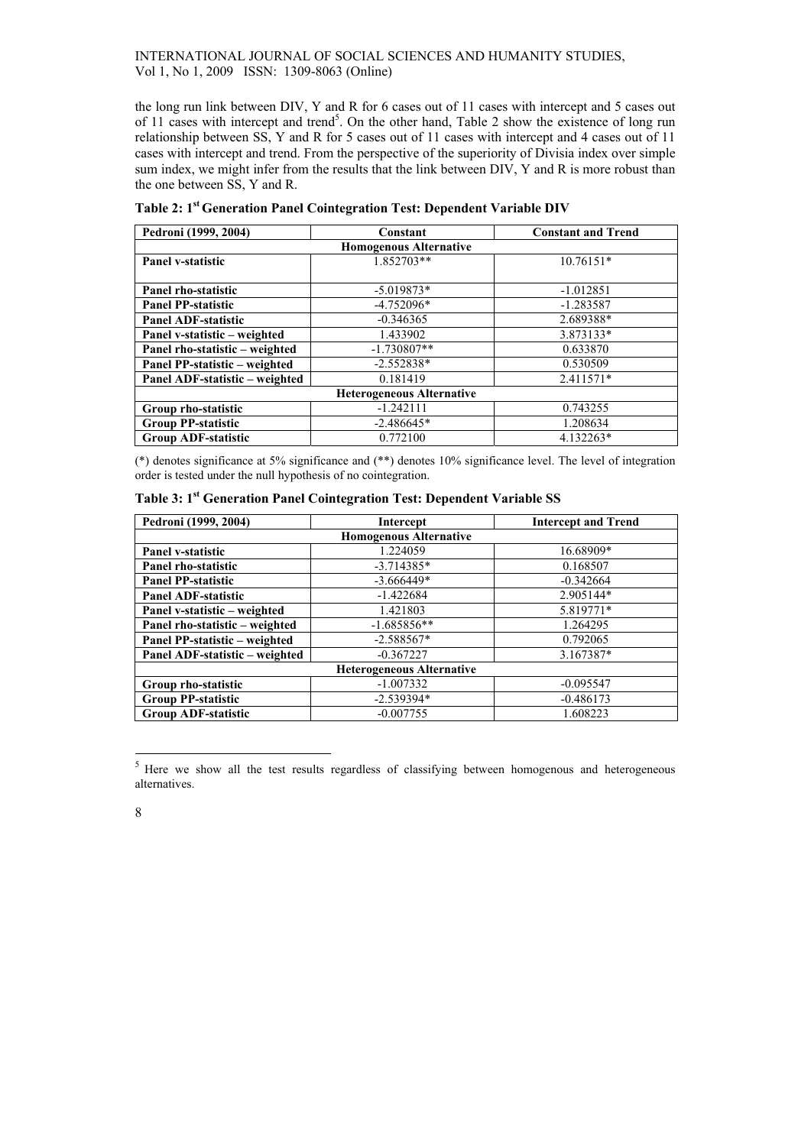the long run link between DIV, Y and R for 6 cases out of 11 cases with intercept and 5 cases out of 11 cases with intercept and trend<sup>5</sup>. On the other hand, Table 2 show the existence of long run relationship between SS, Y and R for 5 cases out of 11 cases with intercept and 4 cases out of 11 cases with intercept and trend. From the perspective of the superiority of Divisia index over simple sum index, we might infer from the results that the link between DIV, Y and R is more robust than the one between SS, Y and R.

| Pedroni (1999, 2004)           | Constant                         | <b>Constant and Trend</b> |
|--------------------------------|----------------------------------|---------------------------|
|                                | <b>Homogenous Alternative</b>    |                           |
| <b>Panel v-statistic</b>       | 1.852703**                       | $10.76151*$               |
|                                |                                  |                           |
| <b>Panel rho-statistic</b>     | $-5.019873*$                     | $-1.012851$               |
| <b>Panel PP-statistic</b>      | $-4.752096*$                     | $-1.283587$               |
| <b>Panel ADF-statistic</b>     | $-0.346365$                      | 2.689388*                 |
| Panel v-statistic - weighted   | 1.433902                         | 3.873133*                 |
| Panel rho-statistic – weighted | $-1.730807**$                    | 0.633870                  |
| Panel PP-statistic – weighted  | $-2.552838*$                     | 0.530509                  |
| Panel ADF-statistic – weighted | 0.181419                         | 2.411571*                 |
|                                | <b>Heterogeneous Alternative</b> |                           |
| Group rho-statistic            | $-1.242111$                      | 0.743255                  |
| <b>Group PP-statistic</b>      | $-2.486645*$                     | 1.208634                  |
| <b>Group ADF-statistic</b>     | 0.772100                         | 4.132263*                 |

**Table 2: 1st Generation Panel Cointegration Test: Dependent Variable DIV** 

(\*) denotes significance at 5% significance and (\*\*) denotes 10% significance level. The level of integration order is tested under the null hypothesis of no cointegration.

| Table 3: 1 <sup>st</sup> Generation Panel Cointegration Test: Dependent Variable SS |  |  |  |  |  |  |
|-------------------------------------------------------------------------------------|--|--|--|--|--|--|
|-------------------------------------------------------------------------------------|--|--|--|--|--|--|

| Pedroni (1999, 2004)             | Intercept                     | <b>Intercept and Trend</b> |  |  |  |
|----------------------------------|-------------------------------|----------------------------|--|--|--|
|                                  | <b>Homogenous Alternative</b> |                            |  |  |  |
| <b>Panel v-statistic</b>         | 1.224059                      | 16.68909*                  |  |  |  |
| <b>Panel rho-statistic</b>       | $-3.714385*$                  | 0.168507                   |  |  |  |
| <b>Panel PP-statistic</b>        | $-3.666449*$                  | $-0.342664$                |  |  |  |
| <b>Panel ADF-statistic</b>       | $-1.422684$                   | 2.905144*                  |  |  |  |
| Panel v-statistic - weighted     | 1.421803                      | 5.819771*                  |  |  |  |
| Panel rho-statistic - weighted   | $-1.685856**$                 | 1.264295                   |  |  |  |
| Panel PP-statistic – weighted    | $-2.588567*$                  | 0.792065                   |  |  |  |
| Panel ADF-statistic – weighted   | $-0.367227$                   | 3.167387*                  |  |  |  |
| <b>Heterogeneous Alternative</b> |                               |                            |  |  |  |
| Group rho-statistic              | $-1.007332$                   | $-0.095547$                |  |  |  |
| <b>Group PP-statistic</b>        | $-2.539394*$                  | $-0.486173$                |  |  |  |
| <b>Group ADF-statistic</b>       | $-0.007755$                   | 1.608223                   |  |  |  |

 $5$  Here we show all the test results regardless of classifying between homogenous and heterogeneous alternatives.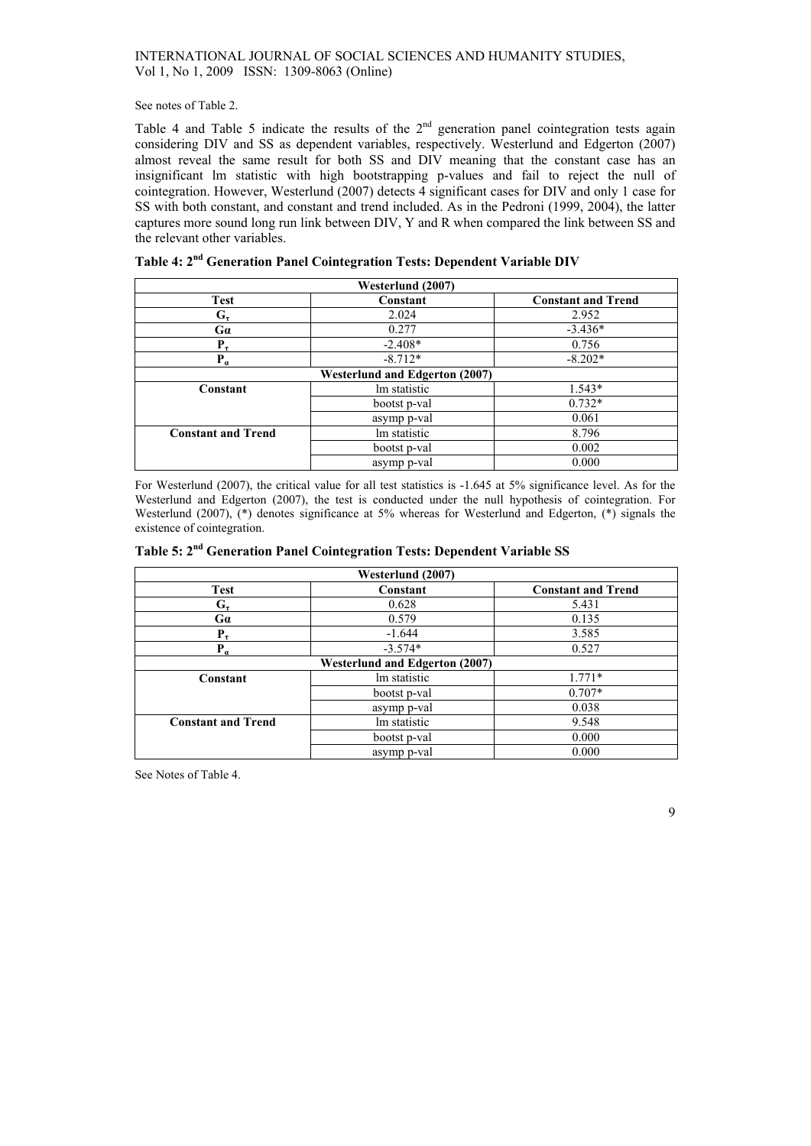See notes of Table 2.

Table 4 and Table 5 indicate the results of the  $2<sup>nd</sup>$  generation panel cointegration tests again considering DIV and SS as dependent variables, respectively. Westerlund and Edgerton (2007) almost reveal the same result for both SS and DIV meaning that the constant case has an insignificant lm statistic with high bootstrapping p-values and fail to reject the null of cointegration. However, Westerlund (2007) detects 4 significant cases for DIV and only 1 case for SS with both constant, and constant and trend included. As in the Pedroni (1999, 2004), the latter captures more sound long run link between DIV, Y and R when compared the link between SS and the relevant other variables.

|                           | Westerlund (2007)                     |                           |
|---------------------------|---------------------------------------|---------------------------|
| <b>Test</b>               | Constant                              | <b>Constant and Trend</b> |
| $G_{\tau}$                | 2.024                                 | 2.952                     |
| Ga                        | 0.277                                 | $-3.436*$                 |
| $P_{\tau}$                | $-2.408*$                             | 0.756                     |
| $P_{\alpha}$              | $-8.712*$                             | $-8.202*$                 |
|                           | <b>Westerlund and Edgerton (2007)</b> |                           |
| Constant                  | lm statistic                          | $1.543*$                  |
|                           | bootst p-val                          | $0.732*$                  |
|                           | asymp p-val                           | 0.061                     |
| <b>Constant and Trend</b> | lm statistic                          | 8.796                     |
|                           | bootst p-val                          | 0.002                     |
|                           | asymp p-val                           | 0.000                     |

For Westerlund (2007), the critical value for all test statistics is -1.645 at 5% significance level. As for the Westerlund and Edgerton (2007), the test is conducted under the null hypothesis of cointegration. For Westerlund (2007), (\*) denotes significance at 5% whereas for Westerlund and Edgerton, (\*) signals the existence of cointegration.

|  |  |  | Table 5: 2 <sup>nd</sup> Generation Panel Cointegration Tests: Dependent Variable SS |  |
|--|--|--|--------------------------------------------------------------------------------------|--|
|--|--|--|--------------------------------------------------------------------------------------|--|

|                           | Westerlund (2007)                     |                           |
|---------------------------|---------------------------------------|---------------------------|
| <b>Test</b>               | Constant                              | <b>Constant and Trend</b> |
| $\mathbf{G}_{\tau}$       | 0.628                                 | 5.431                     |
| Ga                        | 0.579                                 | 0.135                     |
| ${\bf P}_{\tau}$          | $-1.644$                              | 3.585                     |
| $P_{\alpha}$              | $-3.574*$                             | 0.527                     |
|                           | <b>Westerlund and Edgerton (2007)</b> |                           |
| Constant                  | lm statistic                          | $1.771*$                  |
|                           | bootst p-val                          | $0.707*$                  |
|                           | asymp p-val                           | 0.038                     |
| <b>Constant and Trend</b> | lm statistic                          | 9.548                     |
|                           | bootst p-val                          | 0.000                     |
|                           | asymp p-val                           | 0.000                     |

See Notes of Table 4.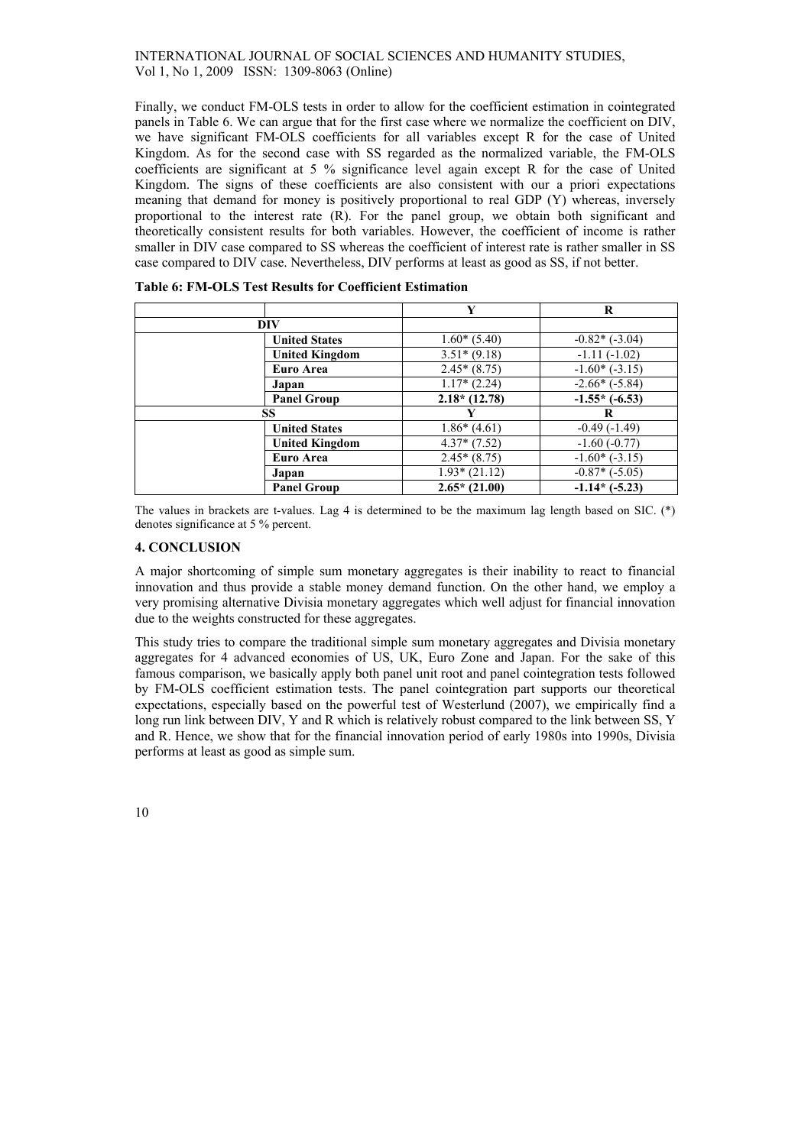Finally, we conduct FM-OLS tests in order to allow for the coefficient estimation in cointegrated panels in Table 6. We can argue that for the first case where we normalize the coefficient on DIV, we have significant FM-OLS coefficients for all variables except R for the case of United Kingdom. As for the second case with SS regarded as the normalized variable, the FM-OLS coefficients are significant at 5 % significance level again except R for the case of United Kingdom. The signs of these coefficients are also consistent with our a priori expectations meaning that demand for money is positively proportional to real GDP (Y) whereas, inversely proportional to the interest rate (R). For the panel group, we obtain both significant and theoretically consistent results for both variables. However, the coefficient of income is rather smaller in DIV case compared to SS whereas the coefficient of interest rate is rather smaller in SS case compared to DIV case. Nevertheless, DIV performs at least as good as SS, if not better.

|                       | Y              | R                  |
|-----------------------|----------------|--------------------|
| DIV                   |                |                    |
| <b>United States</b>  | $1.60*(5.40)$  | $-0.82*$ $(-3.04)$ |
| <b>United Kingdom</b> | $3.51*(9.18)$  | $-1.11(-1.02)$     |
| Euro Area             | $2.45*(8.75)$  | $-1.60*(-3.15)$    |
| Japan                 | $1.17*(2.24)$  | $-2.66*(-5.84)$    |
| <b>Panel Group</b>    | $2.18*(12.78)$ | $-1.55*$ $(-6.53)$ |
| SS                    |                | R                  |
| <b>United States</b>  | $1.86*(4.61)$  | $-0.49(-1.49)$     |
| <b>United Kingdom</b> | $4.37*(7.52)$  | $-1.60(-0.77)$     |
| Euro Area             | $2.45*(8.75)$  | $-1.60*(-3.15)$    |
| Japan                 | $1.93*(21.12)$ | $-0.87*(-5.05)$    |
| <b>Panel Group</b>    | $2.65*(21.00)$ | $-1.14*(-5.23)$    |

|  |  | <b>Table 6: FM-OLS Test Results for Coefficient Estimation</b> |
|--|--|----------------------------------------------------------------|
|--|--|----------------------------------------------------------------|

The values in brackets are t-values. Lag 4 is determined to be the maximum lag length based on SIC. (\*) denotes significance at 5 % percent.

# **4. CONCLUSION**

A major shortcoming of simple sum monetary aggregates is their inability to react to financial innovation and thus provide a stable money demand function. On the other hand, we employ a very promising alternative Divisia monetary aggregates which well adjust for financial innovation due to the weights constructed for these aggregates.

This study tries to compare the traditional simple sum monetary aggregates and Divisia monetary aggregates for 4 advanced economies of US, UK, Euro Zone and Japan. For the sake of this famous comparison, we basically apply both panel unit root and panel cointegration tests followed by FM-OLS coefficient estimation tests. The panel cointegration part supports our theoretical expectations, especially based on the powerful test of Westerlund (2007), we empirically find a long run link between DIV, Y and R which is relatively robust compared to the link between SS, Y and R. Hence, we show that for the financial innovation period of early 1980s into 1990s, Divisia performs at least as good as simple sum.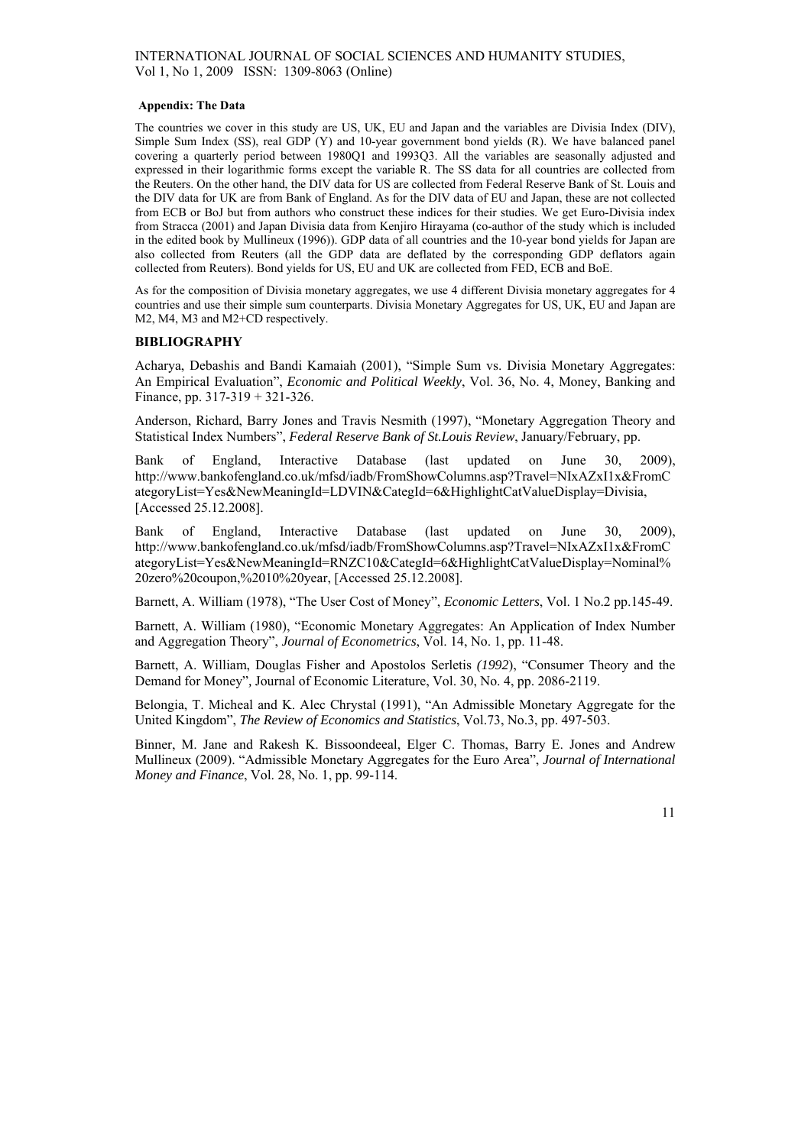#### **Appendix: The Data**

The countries we cover in this study are US, UK, EU and Japan and the variables are Divisia Index (DIV), Simple Sum Index (SS), real GDP (Y) and 10-year government bond yields (R). We have balanced panel covering a quarterly period between 1980Q1 and 1993Q3. All the variables are seasonally adjusted and expressed in their logarithmic forms except the variable R. The SS data for all countries are collected from the Reuters. On the other hand, the DIV data for US are collected from Federal Reserve Bank of St. Louis and the DIV data for UK are from Bank of England. As for the DIV data of EU and Japan, these are not collected from ECB or BoJ but from authors who construct these indices for their studies. We get Euro-Divisia index from Stracca (2001) and Japan Divisia data from Kenjiro Hirayama (co-author of the study which is included in the edited book by Mullineux (1996)). GDP data of all countries and the 10-year bond yields for Japan are also collected from Reuters (all the GDP data are deflated by the corresponding GDP deflators again collected from Reuters). Bond yields for US, EU and UK are collected from FED, ECB and BoE.

As for the composition of Divisia monetary aggregates, we use 4 different Divisia monetary aggregates for 4 countries and use their simple sum counterparts. Divisia Monetary Aggregates for US, UK, EU and Japan are M2, M4, M3 and M2+CD respectively.

### **BIBLIOGRAPHY**

Acharya, Debashis and Bandi Kamaiah (2001), "Simple Sum vs. Divisia Monetary Aggregates: An Empirical Evaluation", *Economic and Political Weekly*, Vol. 36, No. 4, Money, Banking and Finance, pp. 317-319 + 321-326.

Anderson, Richard, Barry Jones and Travis Nesmith (1997), "Monetary Aggregation Theory and Statistical Index Numbers", *Federal Reserve Bank of St.Louis Review*, January/February, pp.

Bank of England, Interactive Database (last updated on June 30, 2009), http://www.bankofengland.co.uk/mfsd/iadb/FromShowColumns.asp?Travel=NIxAZxI1x&FromC ategoryList=Yes&NewMeaningId=LDVIN&CategId=6&HighlightCatValueDisplay=Divisia, [Accessed 25.12.2008].

Bank of England, Interactive Database (last updated on June 30, 2009), http://www.bankofengland.co.uk/mfsd/iadb/FromShowColumns.asp?Travel=NIxAZxI1x&FromC ategoryList=Yes&NewMeaningId=RNZC10&CategId=6&HighlightCatValueDisplay=Nominal% 20zero%20coupon,%2010%20year, [Accessed 25.12.2008].

Barnett, A. William (1978), "The User Cost of Money", *Economic Letters*, Vol. 1 No.2 pp.145-49.

Barnett, A. William (1980), "Economic Monetary Aggregates: An Application of Index Number and Aggregation Theory", *Journal of Econometrics*, Vol. 14, No. 1, pp. 11-48.

Barnett, A. William, Douglas Fisher and Apostolos Serletis *(1992*), "Consumer Theory and the Demand for Money"*,* Journal of Economic Literature, Vol. 30, No. 4, pp. 2086-2119.

Belongia, T. Micheal and K. Alec Chrystal (1991), "An Admissible Monetary Aggregate for the United Kingdom", *The Review of Economics and Statistics*, Vol.73, No.3, pp. 497-503.

Binner, M. Jane and Rakesh K. Bissoondeeal, Elger C. Thomas, Barry E. Jones and Andrew Mullineux (2009). "Admissible Monetary Aggregates for the Euro Area", *Journal of International Money and Finance*, Vol. 28, No. 1, pp. 99-114.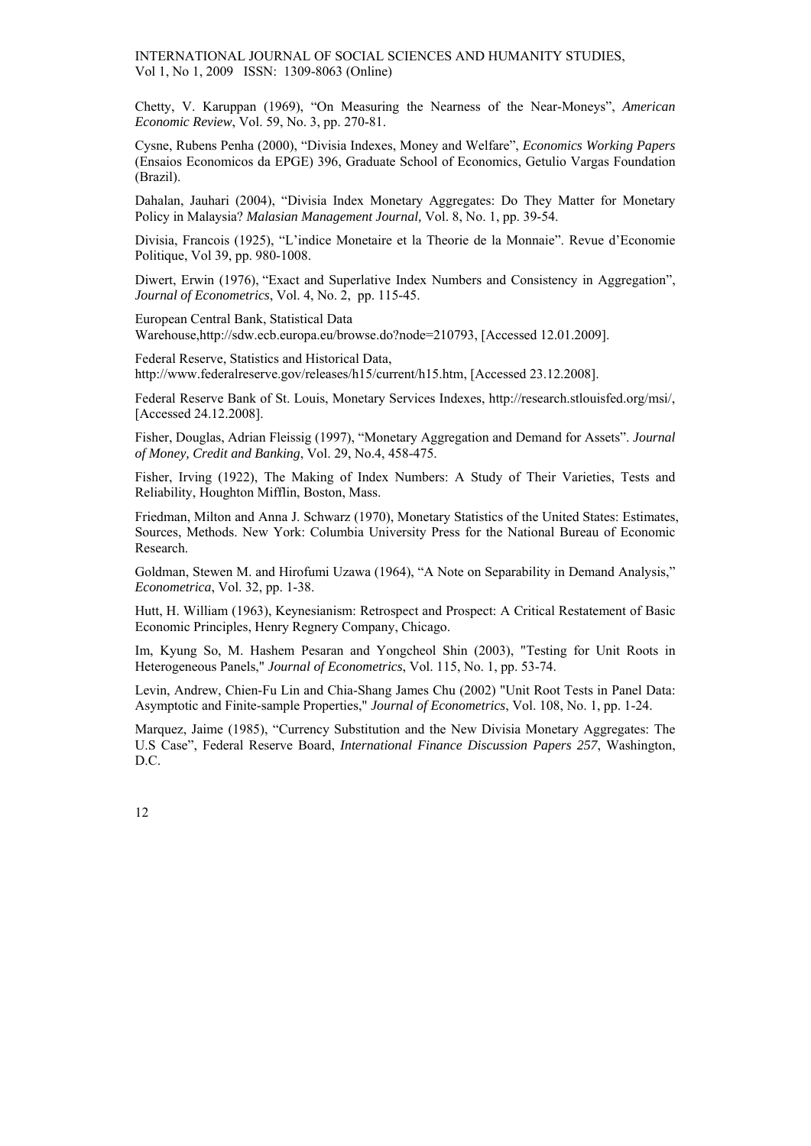Chetty, V. Karuppan (1969), "On Measuring the Nearness of the Near-Moneys", *American Economic Review*, Vol. 59, No. 3, pp. 270-81.

Cysne, Rubens Penha (2000), "Divisia Indexes, Money and Welfare", *Economics Working Papers* (Ensaios Economicos da EPGE) 396, Graduate School of Economics, Getulio Vargas Foundation (Brazil).

Dahalan, Jauhari (2004), "Divisia Index Monetary Aggregates: Do They Matter for Monetary Policy in Malaysia? *Malasian Management Journal,* Vol. 8, No. 1, pp. 39-54.

Divisia, Francois (1925), "L'indice Monetaire et la Theorie de la Monnaie". Revue d'Economie Politique, Vol 39, pp. 980-1008.

Diwert, Erwin (1976), "Exact and Superlative Index Numbers and Consistency in Aggregation", *Journal of Econometrics*, Vol. 4, No. 2, pp. 115-45.

European Central Bank, Statistical Data

Warehouse,http://sdw.ecb.europa.eu/browse.do?node=210793, [Accessed 12.01.2009].

Federal Reserve, Statistics and Historical Data, http://www.federalreserve.gov/releases/h15/current/h15.htm, [Accessed 23.12.2008].

Federal Reserve Bank of St. Louis, Monetary Services Indexes, http://research.stlouisfed.org/msi/, [Accessed 24.12.2008].

Fisher, Douglas, Adrian Fleissig (1997), "Monetary Aggregation and Demand for Assets". *Journal of Money, Credit and Banking*, Vol. 29, No.4, 458-475.

Fisher, Irving (1922), The Making of Index Numbers: A Study of Their Varieties, Tests and Reliability, Houghton Mifflin, Boston, Mass.

Friedman, Milton and Anna J. Schwarz (1970), Monetary Statistics of the United States: Estimates, Sources, Methods. New York: Columbia University Press for the National Bureau of Economic Research.

Goldman, Stewen M. and Hirofumi Uzawa (1964), "A Note on Separability in Demand Analysis," *Econometrica*, Vol. 32, pp. 1-38.

Hutt, H. William (1963), Keynesianism: Retrospect and Prospect: A Critical Restatement of Basic Economic Principles, Henry Regnery Company, Chicago.

Im, Kyung So, M. Hashem Pesaran and Yongcheol Shin (2003), "Testing for Unit Roots in Heterogeneous Panels," *Journal of Econometrics*, Vol. 115, No. 1, pp. 53-74.

Levin, Andrew, Chien-Fu Lin and Chia-Shang James Chu (2002) "Unit Root Tests in Panel Data: Asymptotic and Finite-sample Properties," *Journal of Econometrics*, Vol. 108, No. 1, pp. 1-24.

Marquez, Jaime (1985), "Currency Substitution and the New Divisia Monetary Aggregates: The U.S Case", Federal Reserve Board, *International Finance Discussion Papers 257*, Washington, D.C.